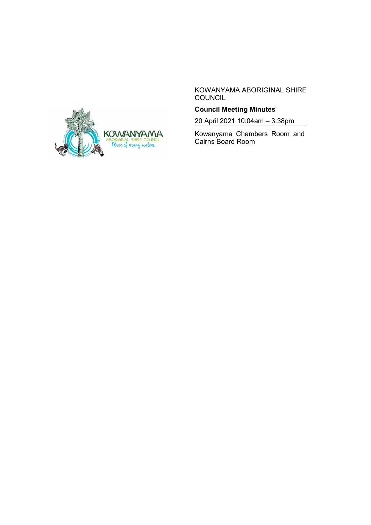

KOWANYAMA ABORIGINAL SHIRE **COUNCIL** 

# **Council Meeting Minutes**

20 April 2021 10:04am – 3:38pm

Kowanyama Chambers Room and Cairns Board Room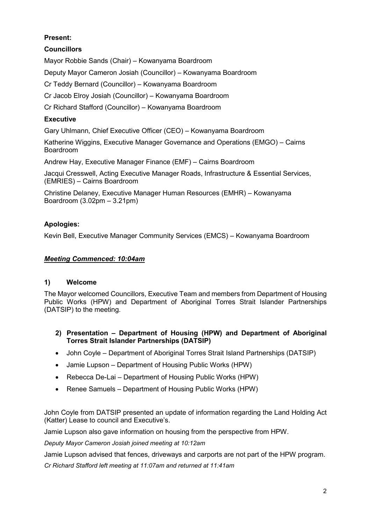# **Present:**

# **Councillors**

Mayor Robbie Sands (Chair) – Kowanyama Boardroom

Deputy Mayor Cameron Josiah (Councillor) – Kowanyama Boardroom

Cr Teddy Bernard (Councillor) – Kowanyama Boardroom

Cr Jacob Elroy Josiah (Councillor) – Kowanyama Boardroom

Cr Richard Stafford (Councillor) – Kowanyama Boardroom

# **Executive**

Gary Uhlmann, Chief Executive Officer (CEO) – Kowanyama Boardroom

Katherine Wiggins, Executive Manager Governance and Operations (EMGO) – Cairns Boardroom

Andrew Hay, Executive Manager Finance (EMF) – Cairns Boardroom

Jacqui Cresswell, Acting Executive Manager Roads, Infrastructure & Essential Services, (EMRIES) – Cairns Boardroom

Christine Delaney, Executive Manager Human Resources (EMHR) – Kowanyama Boardroom (3.02pm – 3.21pm)

# **Apologies:**

Kevin Bell, Executive Manager Community Services (EMCS) – Kowanyama Boardroom

### *Meeting Commenced: 10:04am*

### **1) Welcome**

The Mayor welcomed Councillors, Executive Team and members from Department of Housing Public Works (HPW) and Department of Aboriginal Torres Strait Islander Partnerships (DATSIP) to the meeting.

- **2) Presentation – Department of Housing (HPW) and Department of Aboriginal Torres Strait Islander Partnerships (DATSIP)**
- John Coyle Department of Aboriginal Torres Strait Island Partnerships (DATSIP)
- Jamie Lupson Department of Housing Public Works (HPW)
- Rebecca De-Lai Department of Housing Public Works (HPW)
- Renee Samuels Department of Housing Public Works (HPW)

John Coyle from DATSIP presented an update of information regarding the Land Holding Act (Katter) Lease to council and Executive's.

Jamie Lupson also gave information on housing from the perspective from HPW.

*Deputy Mayor Cameron Josiah joined meeting at 10:12am*

Jamie Lupson advised that fences, driveways and carports are not part of the HPW program.

*Cr Richard Stafford left meeting at 11:07am and returned at 11:41am*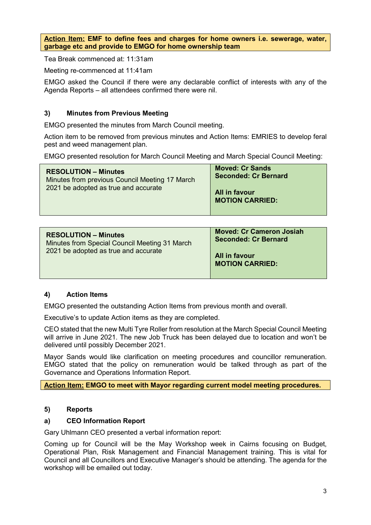**Action Item: EMF to define fees and charges for home owners i.e. sewerage, water, garbage etc and provide to EMGO for home ownership team**

Tea Break commenced at: 11:31am

Meeting re-commenced at 11:41am

EMGO asked the Council if there were any declarable conflict of interests with any of the Agenda Reports – all attendees confirmed there were nil.

### **3) Minutes from Previous Meeting**

EMGO presented the minutes from March Council meeting.

Action item to be removed from previous minutes and Action Items: EMRIES to develop feral pest and weed management plan.

EMGO presented resolution for March Council Meeting and March Special Council Meeting:

| <b>RESOLUTION - Minutes</b><br>Minutes from previous Council Meeting 17 March<br>2021 be adopted as true and accurate | <b>Moved: Cr Sands</b><br><b>Seconded: Cr Bernard</b> |
|-----------------------------------------------------------------------------------------------------------------------|-------------------------------------------------------|
|                                                                                                                       | All in favour<br><b>MOTION CARRIED:</b>               |

| <b>RESOLUTION - Minutes</b><br>Minutes from Special Council Meeting 31 March<br>2021 be adopted as true and accurate | <b>Moved: Cr Cameron Josiah</b><br><b>Seconded: Cr Bernard</b> |
|----------------------------------------------------------------------------------------------------------------------|----------------------------------------------------------------|
|                                                                                                                      | All in favour<br><b>MOTION CARRIED:</b>                        |

#### **4) Action Items**

EMGO presented the outstanding Action Items from previous month and overall.

Executive's to update Action items as they are completed.

CEO stated that the new Multi Tyre Roller from resolution at the March Special Council Meeting will arrive in June 2021. The new Job Truck has been delayed due to location and won't be delivered until possibly December 2021.

Mayor Sands would like clarification on meeting procedures and councillor remuneration. EMGO stated that the policy on remuneration would be talked through as part of the Governance and Operations Information Report.

**Action Item: EMGO to meet with Mayor regarding current model meeting procedures.**

#### **5) Reports**

#### **a) CEO Information Report**

Gary Uhlmann CEO presented a verbal information report:

Coming up for Council will be the May Workshop week in Cairns focusing on Budget, Operational Plan, Risk Management and Financial Management training. This is vital for Council and all Councillors and Executive Manager's should be attending. The agenda for the workshop will be emailed out today.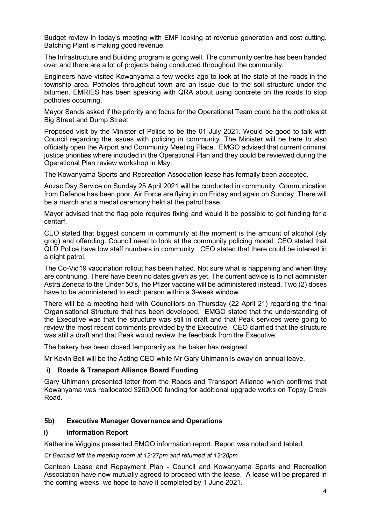Budget review in today's meeting with EMF looking at revenue generation and cost cutting. Batching Plant is making good revenue.

The Infrastructure and Building program is going well. The community centre has been handed over and there are a lot of projects being conducted throughout the community.

Engineers have visited Kowanyama a few weeks ago to look at the state of the roads in the township area. Potholes throughout town are an issue due to the soil structure under the bitumen. EMRIES has been speaking with QRA about using concrete on the roads to stop potholes occurring.

Mayor Sands asked if the priority and focus for the Operational Team could be the potholes at Big Street and Dump Street.

Proposed visit by the Minister of Police to be the 01 July 2021. Would be good to talk with Council regarding the issues with policing in community. The Minister will be here to also officially open the Airport and Community Meeting Place. EMGO advised that current criminal justice priorities where included in the Operational Plan and they could be reviewed during the Operational Plan review workshop in May.

The Kowanyama Sports and Recreation Association lease has formally been accepted.

Anzac Day Service on Sunday 25 April 2021 will be conducted in community. Communication from Defence has been poor. Air Force are flying in on Friday and again on Sunday. There will be a march and a medal ceremony held at the patrol base.

Mayor advised that the flag pole requires fixing and would it be possible to get funding for a centarf.

CEO stated that biggest concern in community at the moment is the amount of alcohol (sly grog) and offending. Council need to look at the community policing model. CEO stated that QLD Police have low staff numbers in community. CEO stated that there could be interest in a night patrol.

The Co-Vid19 vaccination rollout has been halted. Not sure what is happening and when they are continuing. There have been no dates given as yet. The current advice is to not administer Astra Zeneca to the Under 50's, the Pfizer vaccine will be administered instead. Two (2) doses have to be administered to each person within a 3-week window.

There will be a meeting held with Councillors on Thursday (22 April 21) regarding the final Organisational Structure that has been developed. EMGO stated that the understanding of the Executive was that the structure was still in draft and that Peak services were going to review the most recent comments provided by the Executive. CEO clarified that the structure was still a draft and that Peak would review the feedback from the Executive.

The bakery has been closed temporarily as the baker has resigned.

Mr Kevin Bell will be the Acting CEO while Mr Gary Uhlmann is away on annual leave.

#### **i) Roads & Transport Alliance Board Funding**

Gary Uhlmann presented letter from the Roads and Transport Alliance which confirms that Kowanyama was reallocated \$260,000 funding for additional upgrade works on Topsy Creek Road.

#### **5b) Executive Manager Governance and Operations**

#### **i) Information Report**

Katherine Wiggins presented EMGO information report. Report was noted and tabled.

#### *Cr Bernard left the meeting room at 12:27pm and returned at 12:28pm*

Canteen Lease and Repayment Plan - Council and Kowanyama Sports and Recreation Association have now mutually agreed to proceed with the lease. A lease will be prepared in the coming weeks, we hope to have it completed by 1 June 2021.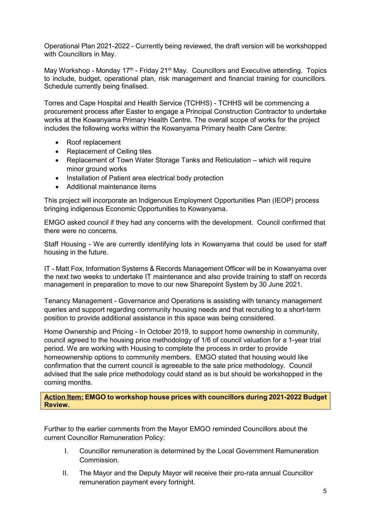Operational Plan 2021-2022 - Currently being reviewed, the draft version will be workshopped with Councillors in May.

May Workshop - Monday  $17<sup>th</sup>$  - Friday 21<sup>st</sup> May. Councillors and Executive attending. Topics to include, budget, operational plan, risk management and financial training for councillors. Schedule currently being finalised.

Torres and Cape Hospital and Health Service (TCHHS) - TCHHS will be commencing a procurement process after Easter to engage a Principal Construction Contractor to undertake works at the Kowanyama Primary Health Centre. The overall scope of works for the project includes the following works within the Kowanyama Primary health Care Centre:

- Roof replacement
- Replacement of Ceiling tiles
- Replacement of Town Water Storage Tanks and Reticulation which will require minor ground works
- Installation of Patient area electrical body protection
- Additional maintenance items

This project will incorporate an Indigenous Employment Opportunities Plan (IEOP) process bringing indigenous Economic Opportunities to Kowanyama.

EMGO asked council if they had any concerns with the development. Council confirmed that there were no concerns.

Staff Housing - We are currently identifying lots in Kowanyama that could be used for staff housing in the future.

IT - Matt Fox, Information Systems & Records Management Officer will be in Kowanyama over the next two weeks to undertake IT maintenance and also provide training to staff on records management in preparation to move to our new Sharepoint System by 30 June 2021.

Tenancy Management - Governance and Operations is assisting with tenancy management queries and support regarding community housing needs and that recruiting to a short-term position to provide additional assistance in this space was being considered.

Home Ownership and Pricing - In October 2019, to support home ownership in community, council agreed to the housing price methodology of 1/6 of council valuation for a 1-year trial period. We are working with Housing to complete the process in order to provide homeownership options to community members. EMGO stated that housing would like confirmation that the current council is agreeable to the sale price methodology. Council advised that the sale price methodology could stand as is but should be workshopped in the coming months.

**Action Item: EMGO to workshop house prices with councillors during 2021-2022 Budget Review.**

Further to the earlier comments from the Mayor EMGO reminded Councillors about the current Councillor Remuneration Policy:

- I. Councillor remuneration is determined by the Local Government Remuneration Commission.
- II. The Mayor and the Deputy Mayor will receive their pro-rata annual Councillor remuneration payment every fortnight.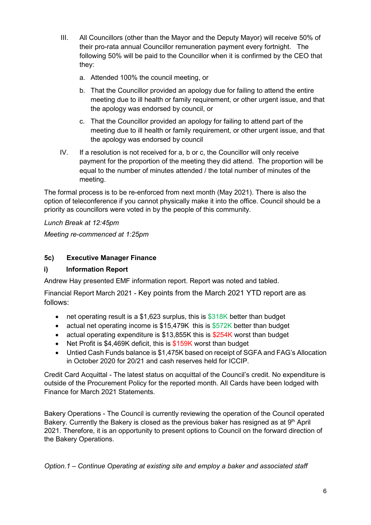- III. All Councillors (other than the Mayor and the Deputy Mayor) will receive 50% of their pro-rata annual Councillor remuneration payment every fortnight. The following 50% will be paid to the Councillor when it is confirmed by the CEO that they:
	- a. Attended 100% the council meeting, or
	- b. That the Councillor provided an apology due for failing to attend the entire meeting due to ill health or family requirement, or other urgent issue, and that the apology was endorsed by council, or
	- c. That the Councillor provided an apology for failing to attend part of the meeting due to ill health or family requirement, or other urgent issue, and that the apology was endorsed by council
- IV. If a resolution is not received for a, b or c, the Councillor will only receive payment for the proportion of the meeting they did attend. The proportion will be equal to the number of minutes attended / the total number of minutes of the meeting.

The formal process is to be re-enforced from next month (May 2021). There is also the option of teleconference if you cannot physically make it into the office. Council should be a priority as councillors were voted in by the people of this community.

*Lunch Break at 12:45pm*

*Meeting re-commenced at 1:25pm*

## **5c) Executive Manager Finance**

# **i) Information Report**

Andrew Hay presented EMF information report. Report was noted and tabled.

Financial Report March 2021 - Key points from the March 2021 YTD report are as follows:

- net operating result is a \$1,623 surplus, this is  $$318K$  better than budget
- actual net operating income is \$15,479K this is \$572K better than budget
- actual operating expenditure is \$13,855K this is \$254K worst than budget
- Net Profit is \$4,469K deficit, this is \$159K worst than budget
- Untied Cash Funds balance is \$1,475K based on receipt of SGFA and FAG's Allocation in October 2020 for 20/21 and cash reserves held for ICCIP.

Credit Card Acquittal - The latest status on acquittal of the Council's credit. No expenditure is outside of the Procurement Policy for the reported month. All Cards have been lodged with Finance for March 2021 Statements.

Bakery Operations - The Council is currently reviewing the operation of the Council operated Bakery. Currently the Bakery is closed as the previous baker has resigned as at  $9<sup>th</sup>$  April 2021. Therefore, it is an opportunity to present options to Council on the forward direction of the Bakery Operations.

*Option.1 – Continue Operating at existing site and employ a baker and associated staff*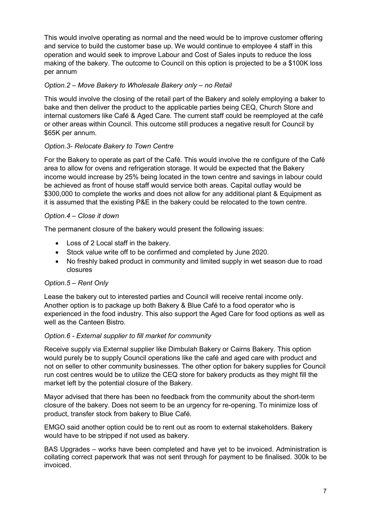This would involve operating as normal and the need would be to improve customer offering and service to build the customer base up. We would continue to employee 4 staff in this operation and would seek to improve Labour and Cost of Sales inputs to reduce the loss making of the bakery. The outcome to Council on this option is projected to be a \$100K loss per annum

### *Option.2 – Move Bakery to Wholesale Bakery only – no Retail*

This would involve the closing of the retail part of the Bakery and solely employing a baker to bake and then deliver the product to the applicable parties being CEQ, Church Store and internal customers like Café & Aged Care. The current staff could be reemployed at the café or other areas within Council. This outcome still produces a negative result for Council by \$65K per annum.

## *Option.3- Relocate Bakery to Town Centre*

For the Bakery to operate as part of the Café. This would involve the re configure of the Café area to allow for ovens and refrigeration storage. It would be expected that the Bakery income would increase by 25% being located in the town centre and savings in labour could be achieved as front of house staff would service both areas. Capital outlay would be \$300,000 to complete the works and does not allow for any additional plant & Equipment as it is assumed that the existing P&E in the bakery could be relocated to the town centre.

### *Option.4 – Close it down*

The permanent closure of the bakery would present the following issues:

- Loss of 2 Local staff in the bakery.
- Stock value write off to be confirmed and completed by June 2020.
- No freshly baked product in community and limited supply in wet season due to road closures

### *Option.5 – Rent Only*

Lease the bakery out to interested parties and Council will receive rental income only. Another option is to package up both Bakery & Blue Café to a food operator who is experienced in the food industry. This also support the Aged Care for food options as well as well as the Canteen Bistro.

### *Option.6 - External supplier to fill market for community*

Receive supply via External supplier like Dimbulah Bakery or Cairns Bakery. This option would purely be to supply Council operations like the café and aged care with product and not on seller to other community businesses. The other option for bakery supplies for Council run cost centres would be to utilize the CEQ store for bakery products as they might fill the market left by the potential closure of the Bakery.

Mayor advised that there has been no feedback from the community about the short-term closure of the bakery. Does not seem to be an urgency for re-opening. To minimize loss of product, transfer stock from bakery to Blue Café.

EMGO said another option could be to rent out as room to external stakeholders. Bakery would have to be stripped if not used as bakery.

BAS Upgrades – works have been completed and have yet to be invoiced. Administration is collating correct paperwork that was not sent through for payment to be finalised. 300k to be invoiced.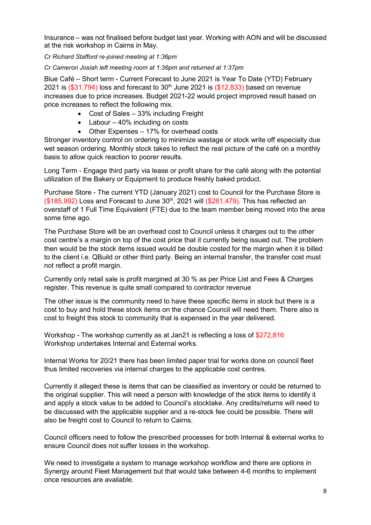Insurance – was not finalised before budget last year. Working with AON and will be discussed at the risk workshop in Cairns in May.

*Cr Richard Stafford re-joined meeting at 1:36pm*

*Cr Cameron Josiah left meeting room at 1:36pm and returned at 1:37pm*

Blue Café – Short term - Current Forecast to June 2021 is Year To Date (YTD) February 2021 is  $(\$31,794)$  loss and forecast to  $30<sup>th</sup>$  June 2021 is  $(\$12,833)$  based on revenue increases due to price increases. Budget 2021-22 would project improved result based on price increases to reflect the following mix.

- Cost of Sales 33% including Freight
- Labour 40% including on costs
- Other Expenses 17% for overhead costs

Stronger inventory control on ordering to minimize wastage or stock write off especially due wet season ordering. Monthly stock takes to reflect the real picture of the café on a monthly basis to allow quick reaction to poorer results.

Long Term - Engage third party via lease or profit share for the café along with the potential utilization of the Bakery or Equipment to produce freshly baked product.

Purchase Store - The current YTD (January 2021) cost to Council for the Purchase Store is  $($185,992)$  Loss and Forecast to June  $30<sup>th</sup>$ , 2021 will  $($281,479)$ . This has reflected an overstaff of 1 Full Time Equivalent (FTE) due to the team member being moved into the area some time ago.

The Purchase Store will be an overhead cost to Council unless it charges out to the other cost centre's a margin on top of the cost price that it currently being issued out. The problem then would be the stock items issued would be double costed for the margin when it is billed to the client i.e. QBuild or other third party. Being an internal transfer, the transfer cost must not reflect a profit margin.

Currently only retail sale is profit margined at 30 % as per Price List and Fees & Charges register. This revenue is quite small compared to contractor revenue

The other issue is the community need to have these specific items in stock but there is a cost to buy and hold these stock items on the chance Council will need them. There also is cost to freight this stock to community that is expensed in the year delivered.

Workshop - The workshop currently as at Jan21 is reflecting a loss of \$272,816 Workshop undertakes Internal and External works.

Internal Works for 20/21 there has been limited paper trial for works done on council fleet thus limited recoveries via internal charges to the applicable cost centres.

Currently it alleged these is items that can be classified as inventory or could be returned to the original supplier. This will need a person with knowledge of the stick items to identify it and apply a stock value to be added to Council's stocktake. Any credits/returns will need to be discussed with the applicable supplier and a re-stock fee could be possible. There will also be freight cost to Council to return to Cairns.

Council officers need to follow the prescribed processes for both Internal & external works to ensure Council does not suffer losses in the workshop.

We need to investigate a system to manage workshop workflow and there are options in Synergy around Fleet Management but that would take between 4-6 months to implement once resources are available.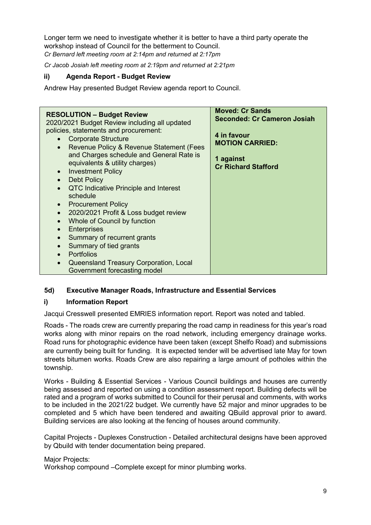Longer term we need to investigate whether it is better to have a third party operate the workshop instead of Council for the betterment to Council. *Cr Bernard left meeting room at 2:14pm and returned at 2:17pm*

*Cr Jacob Josiah left meeting room at 2:19pm and returned at 2:21pm*

### **ii) Agenda Report - Budget Review**

Andrew Hay presented Budget Review agenda report to Council.

#### **5d) Executive Manager Roads, Infrastructure and Essential Services**

#### **i) Information Report**

Jacqui Cresswell presented EMRIES information report. Report was noted and tabled.

Roads - The roads crew are currently preparing the road camp in readiness for this year's road works along with minor repairs on the road network, including emergency drainage works. Road runs for photographic evidence have been taken (except Shelfo Road) and submissions are currently being built for funding. It is expected tender will be advertised late May for town streets bitumen works. Roads Crew are also repairing a large amount of potholes within the township.

Works - Building & Essential Services - Various Council buildings and houses are currently being assessed and reported on using a condition assessment report. Building defects will be rated and a program of works submitted to Council for their perusal and comments, with works to be included in the 2021/22 budget. We currently have 52 major and minor upgrades to be completed and 5 which have been tendered and awaiting QBuild approval prior to award. Building services are also looking at the fencing of houses around community.

Capital Projects - Duplexes Construction - Detailed architectural designs have been approved by Qbuild with tender documentation being prepared.

#### Major Projects:

Workshop compound –Complete except for minor plumbing works.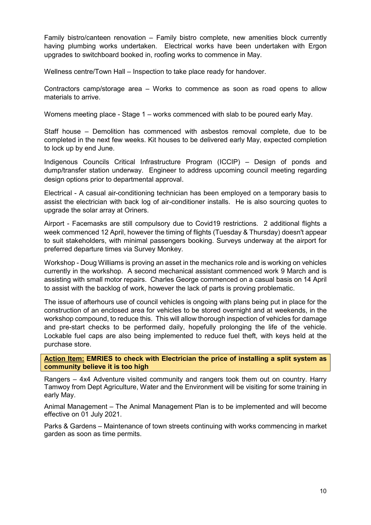Family bistro/canteen renovation – Family bistro complete, new amenities block currently having plumbing works undertaken. Electrical works have been undertaken with Ergon upgrades to switchboard booked in, roofing works to commence in May.

Wellness centre/Town Hall – Inspection to take place ready for handover.

Contractors camp/storage area – Works to commence as soon as road opens to allow materials to arrive.

Womens meeting place - Stage 1 – works commenced with slab to be poured early May.

Staff house – Demolition has commenced with asbestos removal complete, due to be completed in the next few weeks. Kit houses to be delivered early May, expected completion to lock up by end June.

Indigenous Councils Critical Infrastructure Program (ICCIP) – Design of ponds and dump/transfer station underway. Engineer to address upcoming council meeting regarding design options prior to departmental approval.

Electrical - A casual air-conditioning technician has been employed on a temporary basis to assist the electrician with back log of air-conditioner installs. He is also sourcing quotes to upgrade the solar array at Oriners.

Airport - Facemasks are still compulsory due to Covid19 restrictions. 2 additional flights a week commenced 12 April, however the timing of flights (Tuesday & Thursday) doesn't appear to suit stakeholders, with minimal passengers booking. Surveys underway at the airport for preferred departure times via Survey Monkey.

Workshop - Doug Williams is proving an asset in the mechanics role and is working on vehicles currently in the workshop. A second mechanical assistant commenced work 9 March and is assisting with small motor repairs. Charles George commenced on a casual basis on 14 April to assist with the backlog of work, however the lack of parts is proving problematic.

The issue of afterhours use of council vehicles is ongoing with plans being put in place for the construction of an enclosed area for vehicles to be stored overnight and at weekends, in the workshop compound, to reduce this. This will allow thorough inspection of vehicles for damage and pre-start checks to be performed daily, hopefully prolonging the life of the vehicle. Lockable fuel caps are also being implemented to reduce fuel theft, with keys held at the purchase store.

**Action Item: EMRIES to check with Electrician the price of installing a split system as community believe it is too high** 

Rangers – 4x4 Adventure visited community and rangers took them out on country. Harry Tamwoy from Dept Agriculture, Water and the Environment will be visiting for some training in early May.

Animal Management – The Animal Management Plan is to be implemented and will become effective on 01 July 2021.

Parks & Gardens – Maintenance of town streets continuing with works commencing in market garden as soon as time permits.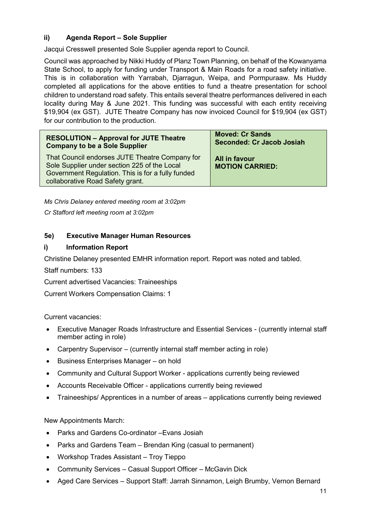## **ii) Agenda Report – Sole Supplier**

Jacqui Cresswell presented Sole Supplier agenda report to Council.

Council was approached by Nikki Huddy of Planz Town Planning, on behalf of the Kowanyama State School, to apply for funding under Transport & Main Roads for a road safety initiative. This is in collaboration with Yarrabah, Djarragun, Weipa, and Pormpuraaw. Ms Huddy completed all applications for the above entities to fund a theatre presentation for school children to understand road safety. This entails several theatre performances delivered in each locality during May & June 2021. This funding was successful with each entity receiving \$19,904 (ex GST). JUTE Theatre Company has now invoiced Council for \$19,904 (ex GST) for our contribution to the production.

| <b>RESOLUTION - Approval for JUTE Theatre</b><br><b>Company to be a Sole Supplier</b>                                                                                                   | <b>Moved: Cr Sands</b><br><b>Seconded: Cr Jacob Josiah</b> |
|-----------------------------------------------------------------------------------------------------------------------------------------------------------------------------------------|------------------------------------------------------------|
| That Council endorses JUTE Theatre Company for<br>Sole Supplier under section 225 of the Local<br>Government Regulation. This is for a fully funded<br>collaborative Road Safety grant. | All in favour<br><b>MOTION CARRIED:</b>                    |
|                                                                                                                                                                                         |                                                            |

*Ms Chris Delaney entered meeting room at 3:02pm*

*Cr Stafford left meeting room at 3:02pm*

### **5e) Executive Manager Human Resources**

#### **i) Information Report**

Christine Delaney presented EMHR information report. Report was noted and tabled.

Staff numbers: 133

Current advertised Vacancies: Traineeships

Current Workers Compensation Claims: 1

Current vacancies:

- Executive Manager Roads Infrastructure and Essential Services (currently internal staff member acting in role)
- Carpentry Supervisor (currently internal staff member acting in role)
- Business Enterprises Manager on hold
- Community and Cultural Support Worker applications currently being reviewed
- Accounts Receivable Officer applications currently being reviewed
- Traineeships/ Apprentices in a number of areas applications currently being reviewed

#### New Appointments March:

- Parks and Gardens Co-ordinator –Evans Josiah
- Parks and Gardens Team Brendan King (casual to permanent)
- Workshop Trades Assistant Troy Tieppo
- Community Services Casual Support Officer McGavin Dick
- Aged Care Services Support Staff: Jarrah Sinnamon, Leigh Brumby, Vernon Bernard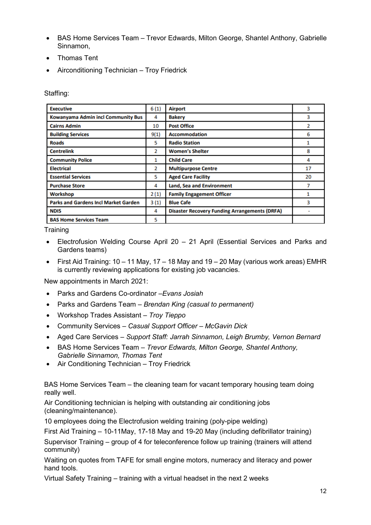- BAS Home Services Team Trevor Edwards, Milton George, Shantel Anthony, Gabrielle Sinnamon,
- Thomas Tent
- Airconditioning Technician Troy Friedrick

Staffing:

| <b>Executive</b>                            | 6(1) | <b>Airport</b>                                       | 3  |
|---------------------------------------------|------|------------------------------------------------------|----|
| Kowanyama Admin incl Community Bus          | 4    | <b>Bakery</b>                                        | 3  |
| <b>Cairns Admin</b>                         | 10   | <b>Post Office</b>                                   | 2  |
| <b>Building Services</b>                    | 9(1) | <b>Accommodation</b>                                 | 6  |
| <b>Roads</b>                                | 5    | <b>Radio Station</b>                                 | 1  |
| <b>Centrelink</b>                           | 2    | <b>Women's Shelter</b>                               | 8  |
| <b>Community Police</b>                     | 1    | <b>Child Care</b>                                    | 4  |
| <b>Electrical</b>                           | 2    | <b>Multipurpose Centre</b>                           | 17 |
| <b>Essential Services</b>                   | 5    | <b>Aged Care Facility</b>                            | 20 |
| <b>Purchase Store</b>                       | 4    | Land, Sea and Environment                            | 7  |
| Workshop                                    | 2(1) | <b>Family Engagement Officer</b>                     | 1  |
| <b>Parks and Gardens Incl Market Garden</b> | 3(1) | <b>Blue Cafe</b>                                     | 3  |
| <b>NDIS</b>                                 | 4    | <b>Disaster Recovery Funding Arrangements (DRFA)</b> |    |
| <b>BAS Home Services Team</b>               | 5    |                                                      |    |

**Training** 

- Electrofusion Welding Course April 20 21 April (Essential Services and Parks and Gardens teams)
- First Aid Training:  $10 11$  May,  $17 18$  May and  $19 20$  May (various work areas) EMHR is currently reviewing applications for existing job vacancies.

New appointments in March 2021:

- Parks and Gardens Co-ordinator *–Evans Josiah*
- Parks and Gardens Team *– Brendan King (casual to permanent)*
- Workshop Trades Assistant *Troy Tieppo*
- Community Services *Casual Support Officer – McGavin Dick*
- Aged Care Services *Support Staff: Jarrah Sinnamon, Leigh Brumby, Vernon Bernard*
- BAS Home Services Team *– Trevor Edwards, Milton George, Shantel Anthony, Gabrielle Sinnamon, Thomas Tent*
- Air Conditioning Technician Troy Friedrick

BAS Home Services Team – the cleaning team for vacant temporary housing team doing really well.

Air Conditioning technician is helping with outstanding air conditioning jobs (cleaning/maintenance).

10 employees doing the Electrofusion welding training (poly-pipe welding)

First Aid Training – 10-11May, 17-18 May and 19-20 May (including defibrillator training)

Supervisor Training – group of 4 for teleconference follow up training (trainers will attend community)

Waiting on quotes from TAFE for small engine motors, numeracy and literacy and power hand tools.

Virtual Safety Training – training with a virtual headset in the next 2 weeks